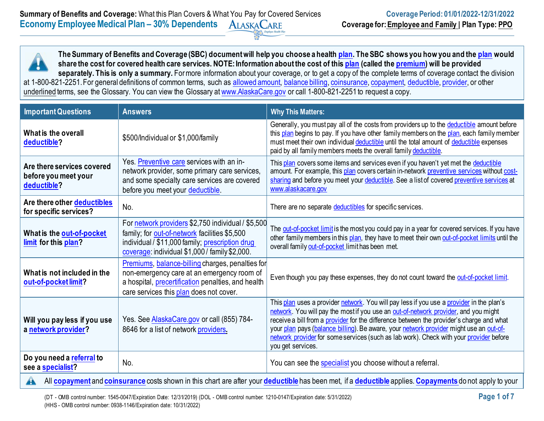**The Summary of Benefits and Coverage (SBC) document will help you choose a health [plan.](https://www.healthcare.gov/sbc-glossary/#plan) The SBC shows you how you and the [plan](https://www.healthcare.gov/sbc-glossary/#plan) would share the cost for covered health care services. NOTE: Information about the cost of this [plan](https://www.healthcare.gov/sbc-glossary/#plan) (called the [premium\)](https://www.healthcare.gov/sbc-glossary/#premium) will be provided**  separately. This is only a summary. For more information about your coverage, or to get a copy of the complete terms of coverage contact the division at 1-800-821-2251. For general definitions of common terms, such as [allowed amount,](https://www.healthcare.gov/sbc-glossary/#allowed-amount) [balance billing,](https://www.healthcare.gov/sbc-glossary/#balance-billing) [coinsurance,](https://www.healthcare.gov/sbc-glossary/#coinsurance) [copayment,](https://www.healthcare.gov/sbc-glossary/#copayment) [deductible,](https://www.healthcare.gov/sbc-glossary/#deductible) [provider,](https://www.healthcare.gov/sbc-glossary/#provider) or other underlined terms, see the Glossary. You can view the Glossary at [www.AlaskaCare.gov](http://www.alaskacare.gov/) or call 1-800-821-2251 to request a copy.

| <b>Important Questions</b>                                        | <b>Answers</b>                                                                                                                                                                                                | <b>Why This Matters:</b>                                                                                                                                                                                                                                                                                                                                                                                                                                                             |
|-------------------------------------------------------------------|---------------------------------------------------------------------------------------------------------------------------------------------------------------------------------------------------------------|--------------------------------------------------------------------------------------------------------------------------------------------------------------------------------------------------------------------------------------------------------------------------------------------------------------------------------------------------------------------------------------------------------------------------------------------------------------------------------------|
| What is the overall<br>deductible?                                | \$500/Individual or \$1,000/family                                                                                                                                                                            | Generally, you must pay all of the costs from providers up to the deductible amount before<br>this plan begins to pay. If you have other family members on the plan, each family member<br>must meet their own individual deductible until the total amount of deductible expenses<br>paid by all family members meets the overall family deductible.                                                                                                                                |
| Are there services covered<br>before you meet your<br>deductible? | Yes. Preventive care services with an in-<br>network provider, some primary care services,<br>and some specialty care services are covered<br>before you meet your deductible.                                | This plan covers some items and services even if you haven't yet met the deductible<br>amount. For example, this plan covers certain in-network preventive services without cost-<br>sharing and before you meet your deductible. See a list of covered preventive services at<br>www.alaskacare.gov                                                                                                                                                                                 |
| Are there other deductibles<br>for specific services?             | No.                                                                                                                                                                                                           | There are no separate deductibles for specific services.                                                                                                                                                                                                                                                                                                                                                                                                                             |
| What is the out-of-pocket<br>limit for this plan?                 | For network providers \$2,750 individual / \$5,500<br>family; for out-of-network facilities \$5,500<br>individual / \$11,000 family; prescription drug<br>coverage: individual \$1,000 / family \$2,000.      | The out-of-pocket limit is the most you could pay in a year for covered services. If you have<br>other family members in this plan, they have to meet their own out-of-pocket limits until the<br>overall family out-of-pocket limit has been met.                                                                                                                                                                                                                                   |
| What is not included in the<br>out-of-pocket limit?               | <b>Premiums, balance-billing charges, penalties for</b><br>non-emergency care at an emergency room of<br>a hospital, <i>precertification</i> penalties, and health<br>care services this plan does not cover. | Even though you pay these expenses, they do not count toward the out-of-pocket limit.                                                                                                                                                                                                                                                                                                                                                                                                |
| Will you pay less if you use<br>a network provider?               | Yes. See <b>AlaskaCare.gov</b> or call (855) 784-<br>8646 for a list of network providers.                                                                                                                    | This plan uses a provider network. You will pay less if you use a provider in the plan's<br>network. You will pay the most if you use an out-of-network provider, and you might<br>receive a bill from a provider for the difference between the provider's charge and what<br>your plan pays (balance billing). Be aware, your network provider might use an out-of-<br>network provider for some services (such as lab work). Check with your provider before<br>you get services. |
| Do you need a referral to<br>see a <b>specialist</b> ?            | No.                                                                                                                                                                                                           | You can see the specialist you choose without a referral.                                                                                                                                                                                                                                                                                                                                                                                                                            |
|                                                                   |                                                                                                                                                                                                               | A All conservation of conservations to the state of the state of the state of the state of the state of the state of the state of the state of the state of the state of the state of the state of the state of the state of t                                                                                                                                                                                                                                                       |

All **[copayment](https://www.healthcare.gov/sbc-glossary/#copayment)** and **[coinsurance](https://www.healthcare.gov/sbc-glossary/#coinsurance)** costs shown in this chart are after your **[deductible](https://www.healthcare.gov/sbc-glossary/#deductible)** has been met, if a **[deductible](https://www.healthcare.gov/sbc-glossary/#deductible)** applies. **[Copayments](https://www.healthcare.gov/sbc-glossary/#deductible)** do not apply to your

(DT - OMB control number: 1545-0047/Expiration Date: 12/31/2019) (DOL - OMB control number: 1210-0147/Expiration date: 5/31/2022) **Page 1 of 7** (HHS - OMB control number: 0938-1146/Expiration date: 10/31/2022)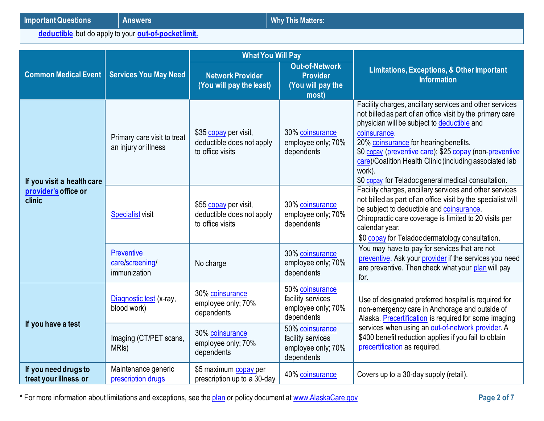**[deductible](https://www.healthcare.gov/sbc-glossary/#deductible)**, but do apply to your **[out-of-pocket limit.](https://www.healthcare.gov/sbc-glossary/#out-of-pocket-limit)**

|                                               |                                                      | <b>What You Will Pay</b>                                               |                                                                          |                                                                                                                                                                                                                                                                                                                                                                                                                     |  |
|-----------------------------------------------|------------------------------------------------------|------------------------------------------------------------------------|--------------------------------------------------------------------------|---------------------------------------------------------------------------------------------------------------------------------------------------------------------------------------------------------------------------------------------------------------------------------------------------------------------------------------------------------------------------------------------------------------------|--|
| <b>Common Medical Event</b>                   | <b>Services You May Need</b>                         | <b>Network Provider</b><br>(You will pay the least)                    | <b>Out-of-Network</b><br><b>Provider</b><br>(You will pay the<br>most)   | <b>Limitations, Exceptions, &amp; Other Important</b><br><b>Information</b>                                                                                                                                                                                                                                                                                                                                         |  |
| If you visit a health care                    | Primary care visit to treat<br>an injury or illness  | \$35 copay per visit,<br>deductible does not apply<br>to office visits | 30% coinsurance<br>employee only; 70%<br>dependents                      | Facility charges, ancillary services and other services<br>not billed as part of an office visit by the primary care<br>physician will be subject to deductible and<br>coinsurance.<br>20% coinsurance for hearing benefits.<br>\$0 copay (preventive care); \$25 copay (non-preventive<br>care)/Coalition Health Clinic (including associated lab<br>work).<br>\$0 copay for Teladoc general medical consultation. |  |
| provider's office or<br>clinic                | <b>Specialist visit</b>                              | \$55 copay per visit,<br>deductible does not apply<br>to office visits | 30% coinsurance<br>employee only; 70%<br>dependents                      | Facility charges, ancillary services and other services<br>not billed as part of an office visit by the specialist will<br>be subject to deductible and coinsurance.<br>Chiropractic care coverage is limited to 20 visits per<br>calendar year.<br>\$0 copay for Teladoc dermatology consultation.                                                                                                                 |  |
|                                               | <b>Preventive</b><br>care/screening/<br>immunization | No charge                                                              | 30% coinsurance<br>employee only; 70%<br>dependents                      | You may have to pay for services that are not<br>preventive. Ask your provider if the services you need<br>are preventive. Then check what your plan will pay<br>for.                                                                                                                                                                                                                                               |  |
| If you have a test                            | Diagnostic test (x-ray,<br>blood work)               | 30% coinsurance<br>employee only; 70%<br>dependents                    | 50% coinsurance<br>facility services<br>employee only; 70%<br>dependents | Use of designated preferred hospital is required for<br>non-emergency care in Anchorage and outside of<br>Alaska. Precertification is required for some imaging                                                                                                                                                                                                                                                     |  |
|                                               | Imaging (CT/PET scans,<br>MRI <sub>s</sub> )         | 30% coinsurance<br>employee only; 70%<br>dependents                    | 50% coinsurance<br>facility services<br>employee only; 70%<br>dependents | services when using an out-of-network provider. A<br>\$400 benefit reduction applies if you fail to obtain<br>precertification as required.                                                                                                                                                                                                                                                                         |  |
| If you need drugs to<br>treat your illness or | Maintenance generic<br>prescription drugs            | \$5 maximum copay per<br>prescription up to a 30-day                   | 40% coinsurance                                                          | Covers up to a 30-day supply (retail).                                                                                                                                                                                                                                                                                                                                                                              |  |

\* For more information about limitations and exceptions, see the [plan](https://www.healthcare.gov/sbc-glossary/#plan) or policy document at [www.AlaskaCare.gov](http://www.alaskacare.gov/) **Page 2 of 7**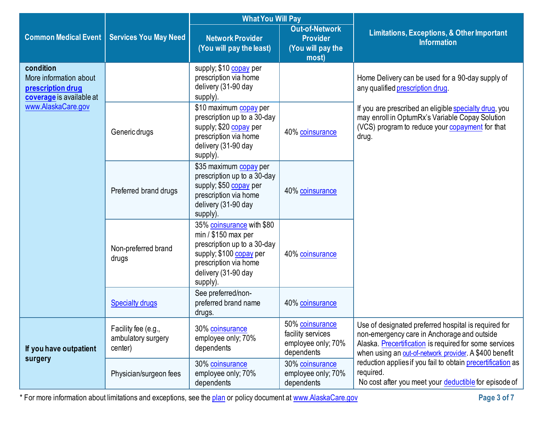|                                                                                      |                                                                                         | <b>What You Will Pay</b>                                                                                                                                                |                                                                          |                                                                                                                                                                                                                         |
|--------------------------------------------------------------------------------------|-----------------------------------------------------------------------------------------|-------------------------------------------------------------------------------------------------------------------------------------------------------------------------|--------------------------------------------------------------------------|-------------------------------------------------------------------------------------------------------------------------------------------------------------------------------------------------------------------------|
| <b>Common Medical Event</b><br><b>Services You May Need</b>                          |                                                                                         | <b>Network Provider</b><br>(You will pay the least)                                                                                                                     | <b>Out-of-Network</b><br><b>Provider</b><br>(You will pay the<br>most)   | <b>Limitations, Exceptions, &amp; Other Important</b><br><b>Information</b>                                                                                                                                             |
| condition<br>More information about<br>prescription drug<br>coverage is available at |                                                                                         | supply; \$10 copay per<br>prescription via home<br>delivery (31-90 day<br>supply).                                                                                      |                                                                          | Home Delivery can be used for a 90-day supply of<br>any qualified prescription drug.                                                                                                                                    |
| www.AlaskaCare.gov                                                                   | supply; \$20 copay per<br>Generic drugs<br>prescription via home<br>delivery (31-90 day | \$10 maximum copay per<br>prescription up to a 30-day<br>supply).                                                                                                       | 40% coinsurance                                                          | If you are prescribed an eligible specialty drug, you<br>may enroll in OptumRx's Variable Copay Solution<br>(VCS) program to reduce your copayment for that<br>drug.                                                    |
|                                                                                      | Preferred brand drugs                                                                   | \$35 maximum copay per<br>prescription up to a 30-day<br>supply; \$50 copay per<br>prescription via home<br>delivery (31-90 day<br>supply).                             | 40% coinsurance                                                          |                                                                                                                                                                                                                         |
|                                                                                      | Non-preferred brand<br>drugs                                                            | 35% coinsurance with \$80<br>$min / $150$ max per<br>prescription up to a 30-day<br>supply; \$100 copay per<br>prescription via home<br>delivery (31-90 day<br>supply). | 40% coinsurance                                                          |                                                                                                                                                                                                                         |
|                                                                                      | <b>Specialty drugs</b>                                                                  | See preferred/non-<br>preferred brand name<br>drugs.                                                                                                                    | 40% coinsurance                                                          |                                                                                                                                                                                                                         |
| If you have outpatient                                                               | Facility fee (e.g.,<br>ambulatory surgery<br>center)                                    | 30% coinsurance<br>employee only; 70%<br>dependents                                                                                                                     | 50% coinsurance<br>facility services<br>employee only; 70%<br>dependents | Use of designated preferred hospital is required for<br>non-emergency care in Anchorage and outside<br>Alaska. Precertification is required for some services<br>when using an out-of-network provider. A \$400 benefit |
| surgery                                                                              | Physician/surgeon fees                                                                  | 30% coinsurance<br>employee only; 70%<br>dependents                                                                                                                     | 30% coinsurance<br>employee only; 70%<br>dependents                      | reduction applies if you fail to obtain precertification as<br>required.<br>No cost after you meet your deductible for episode of                                                                                       |

\* For more information about limitations and exceptions, see the [plan](https://www.healthcare.gov/sbc-glossary/#plan) or policy document at [www.AlaskaCare.gov](http://www.alaskacare.gov/) **Page 3 of 7**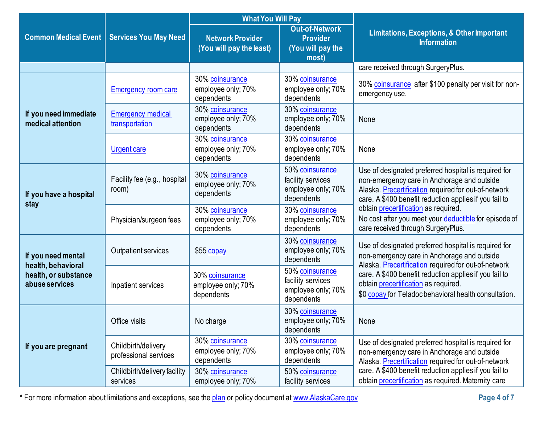|                                            |                                              | <b>What You Will Pay</b>                            |                                                                          |                                                                                                                                                                                                                       |  |
|--------------------------------------------|----------------------------------------------|-----------------------------------------------------|--------------------------------------------------------------------------|-----------------------------------------------------------------------------------------------------------------------------------------------------------------------------------------------------------------------|--|
| <b>Common Medical Event</b>                | <b>Services You May Need</b>                 | <b>Network Provider</b><br>(You will pay the least) | <b>Out-of-Network</b><br><b>Provider</b><br>(You will pay the<br>most)   | <b>Limitations, Exceptions, &amp; Other Important</b><br><b>Information</b>                                                                                                                                           |  |
|                                            |                                              |                                                     |                                                                          | care received through SurgeryPlus.                                                                                                                                                                                    |  |
|                                            | <b>Emergency room care</b>                   | 30% coinsurance<br>employee only; 70%<br>dependents | 30% coinsurance<br>employee only; 70%<br>dependents                      | 30% coinsurance after \$100 penalty per visit for non-<br>emergency use.                                                                                                                                              |  |
| If you need immediate<br>medical attention | <b>Emergency medical</b><br>transportation   | 30% coinsurance<br>employee only; 70%<br>dependents | 30% coinsurance<br>employee only; 70%<br>dependents                      | None                                                                                                                                                                                                                  |  |
|                                            | <b>Urgent care</b>                           | 30% coinsurance<br>employee only; 70%<br>dependents | 30% coinsurance<br>employee only; 70%<br>dependents                      | None                                                                                                                                                                                                                  |  |
| If you have a hospital<br>stay             | Facility fee (e.g., hospital<br>room)        | 30% coinsurance<br>employee only; 70%<br>dependents | 50% coinsurance<br>facility services<br>employee only; 70%<br>dependents | Use of designated preferred hospital is required for<br>non-emergency care in Anchorage and outside<br>Alaska. Precertification required for out-of-network<br>care. A \$400 benefit reduction applies if you fail to |  |
|                                            | Physician/surgeon fees                       | 30% coinsurance<br>employee only; 70%<br>dependents | 30% coinsurance<br>employee only; 70%<br>dependents                      | obtain precertification as required.<br>No cost after you meet your deductible for episode of<br>care received through SurgeryPlus.                                                                                   |  |
| If you need mental<br>health, behavioral   | Outpatient services                          | $$55$ copay                                         | 30% coinsurance<br>employee only; 70%<br>dependents                      | Use of designated preferred hospital is required for<br>non-emergency care in Anchorage and outside<br>Alaska. Precertification required for out-of-network                                                           |  |
| health, or substance<br>abuse services     | Inpatient services                           | 30% coinsurance<br>employee only; 70%<br>dependents | 50% coinsurance<br>facility services<br>employee only; 70%<br>dependents | care. A \$400 benefit reduction applies if you fail to<br>obtain precertification as required.<br>\$0 copay for Teladoc behavioral health consultation.                                                               |  |
|                                            | Office visits                                | No charge                                           | 30% coinsurance<br>employee only; 70%<br>dependents                      | None                                                                                                                                                                                                                  |  |
| If you are pregnant                        | Childbirth/delivery<br>professional services | 30% coinsurance<br>employee only; 70%<br>dependents | 30% coinsurance<br>employee only; 70%<br>dependents                      | Use of designated preferred hospital is required for<br>non-emergency care in Anchorage and outside<br>Alaska. Precertification required for out-of-network                                                           |  |
|                                            | Childbirth/delivery facility<br>services     | 30% coinsurance<br>employee only; 70%               | 50% coinsurance<br>facility services                                     | care. A \$400 benefit reduction applies if you fail to<br>obtain precertification as required. Maternity care                                                                                                         |  |

\* For more information about limitations and exceptions, see the [plan](https://www.healthcare.gov/sbc-glossary/#plan) or policy document at [www.AlaskaCare.gov](http://www.alaskacare.gov/) **Page 4 of 7**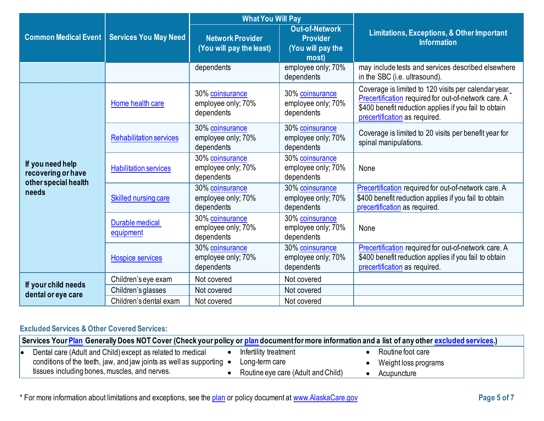|                                           |                                | <b>What You Will Pay</b>                            |                                                                        |                                                                                                                                                                                                        |  |
|-------------------------------------------|--------------------------------|-----------------------------------------------------|------------------------------------------------------------------------|--------------------------------------------------------------------------------------------------------------------------------------------------------------------------------------------------------|--|
| <b>Common Medical Event</b>               | <b>Services You May Need</b>   | <b>Network Provider</b><br>(You will pay the least) | <b>Out-of-Network</b><br><b>Provider</b><br>(You will pay the<br>most) | Limitations, Exceptions, & Other Important<br><b>Information</b>                                                                                                                                       |  |
|                                           |                                | dependents                                          | employee only; 70%<br>dependents                                       | may include tests and services described elsewhere<br>in the SBC (i.e. ultrasound).                                                                                                                    |  |
|                                           | Home health care               | 30% coinsurance<br>employee only; 70%<br>dependents | 30% coinsurance<br>employee only; 70%<br>dependents                    | Coverage is limited to 120 visits per calendar year.<br>Precertification required for out-of-network care. A<br>\$400 benefit reduction applies if you fail to obtain<br>precertification as required. |  |
|                                           | <b>Rehabilitation services</b> | 30% coinsurance<br>employee only; 70%<br>dependents | 30% coinsurance<br>employee only; 70%<br>dependents                    | Coverage is limited to 20 visits per benefit year for<br>spinal manipulations.                                                                                                                         |  |
| If you need help<br>recovering or have    | <b>Habilitation services</b>   | 30% coinsurance<br>employee only; 70%<br>dependents | 30% coinsurance<br>employee only; 70%<br>dependents                    | None                                                                                                                                                                                                   |  |
| other special health<br>needs             | Skilled nursing care           | 30% coinsurance<br>employee only; 70%<br>dependents | 30% coinsurance<br>employee only; 70%<br>dependents                    | Precertification required for out-of-network care. A<br>\$400 benefit reduction applies if you fail to obtain<br>precertification as required.                                                         |  |
|                                           | Durable medical<br>equipment   | 30% coinsurance<br>employee only; 70%<br>dependents | 30% coinsurance<br>employee only; 70%<br>dependents                    | None                                                                                                                                                                                                   |  |
|                                           | <b>Hospice services</b>        | 30% coinsurance<br>employee only; 70%<br>dependents | 30% coinsurance<br>employee only; 70%<br>dependents                    | Precertification required for out-of-network care. A<br>\$400 benefit reduction applies if you fail to obtain<br>precertification as required.                                                         |  |
|                                           | Children's eye exam            | Not covered                                         | Not covered                                                            |                                                                                                                                                                                                        |  |
| If your child needs<br>dental or eye care | Children's glasses             | Not covered                                         | Not covered                                                            |                                                                                                                                                                                                        |  |
|                                           | Children's dental exam         | Not covered                                         | Not covered                                                            |                                                                                                                                                                                                        |  |

# **Excluded Services & Other Covered Services:**

|    | Services Your <mark>Plan</mark> Generally Does NOT Cover (Check your policy or <mark>plan</mark> document for more information and a list of any other <u>excluded services.)</u> |  |                                    |  |                      |  |
|----|-----------------------------------------------------------------------------------------------------------------------------------------------------------------------------------|--|------------------------------------|--|----------------------|--|
| I۰ | Dental care (Adult and Child) except as related to medical                                                                                                                        |  | Infertility treatment              |  | Routine foot care    |  |
|    | conditions of the teeth, jaw, and jaw joints as well as supporting $\bullet$                                                                                                      |  | Long-term care                     |  | Weight loss programs |  |
|    | tissues including bones, muscles, and nerves.                                                                                                                                     |  | Routine eye care (Adult and Child) |  | Acupuncture          |  |

\* For more information about limitations and exceptions, see the [plan](https://www.healthcare.gov/sbc-glossary/#plan) or policy document at [www.AlaskaCare.gov](http://www.alaskacare.gov/) **Page 5 of 7**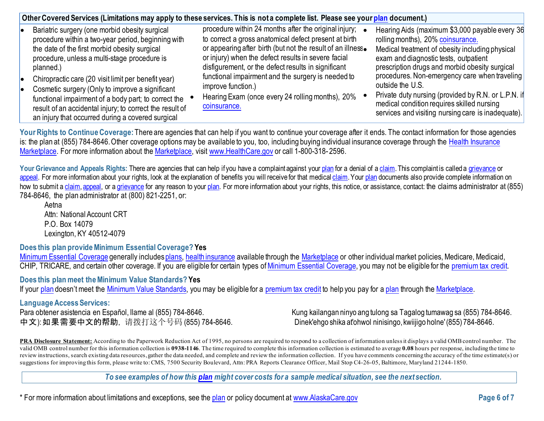| Bariatric surgery (one morbid obesity surgical            | procedure within 24 months after the original injury;       | Hearing Aids (maximum \$3,000 payable every 36  |
|-----------------------------------------------------------|-------------------------------------------------------------|-------------------------------------------------|
| procedure within a two-year period, beginning with        | to correct a gross anatomical defect present at birth       | rolling months), 20% coinsurance.               |
| the date of the first morbid obesity surgical             | or appearing after birth (but not the result of an illness. | Medical treatment of obesity including physical |
| procedure, unless a multi-stage procedure is              | or injury) when the defect results in severe facial         | exam and diagnostic tests, outpatient           |
| planned.)                                                 | disfigurement, or the defect results in significant         | prescription drugs and morbid obesity surgical  |
| • Chiropractic care (20 visit limit per benefit year)     | functional impairment and the surgery is needed to          | procedures. Non-emergency care when traveling   |
| $\bullet$ Cosmetic surgery (Only to improve a significant | improve function.)                                          | outside the U.S.                                |

- Cosmetic surgery (Only to improve a significant functional impairment of a body part; to correct the result of an accidental injury; to correct the result of an injury that occurred during a covered surgical
	- Hearing Exam (once every 24 rolling months), 20% coinsurance.
- Private duty nursing (provided by R.N. or L.P.N. if medical condition requires skilled nursing services and visiting nursing care is inadequate).

Your Rights to Continue Coverage: There are agencies that can help if you want to continue your coverage after it ends. The contact information for those agencies is: the plan at (855) 784-8646. Other coverage options may be available to you, too, including buying individual insurance coverage through the [Health Insurance](https://www.healthcare.gov/sbc-glossary/#health-insurance) [Marketplace.](https://www.healthcare.gov/sbc-glossary/#marketplace) For more information about th[e Marketplace,](https://www.healthcare.gov/sbc-glossary/#marketplace) visit [www.HealthCare.gov](http://www.healthcare.gov/) or call 1-800-318-2596.

Your Grievance and Appeals Rights: There are agencies that can help if you have a complaint against you[r plan](https://www.healthcare.gov/sbc-glossary/#plan) for a denial of a [claim.](https://www.healthcare.gov/sbc-glossary/#claim) This complaint is called a [grievance](https://www.healthcare.gov/sbc-glossary/#grievance) or [appeal.](https://www.healthcare.gov/sbc-glossary/#appeal) For more information about your rights, look at the explanation of benefits you will receive for that medica[l claim.](https://www.healthcare.gov/sbc-glossary/#claim) Your [plan](https://www.healthcare.gov/sbc-glossary/#plan) documents also provide complete information on how to submit [a claim,](https://www.healthcare.gov/sbc-glossary/#claim) [appeal,](https://www.healthcare.gov/sbc-glossary/#appeal) or [a grievance](https://www.healthcare.gov/sbc-glossary/#grievance) for any reason to your [plan.](https://www.healthcare.gov/sbc-glossary/#plan) For more information about your rights, this notice, or assistance, contact: the claims administrator at (855) 784-8646, the plan administrator at (800) 821-2251, or:

Aetna Attn: National Account CRT P.O. Box 14079 [Lexington,](http://www.aetna.com/individuals-families-health-insurance/rights-resources/complaints-grievances-appeals/index.html) KY 40512-4079

# **Does this plan provide Minimum Essential Coverage? Yes**

[Minimum Essential Coverage](https://www.healthcare.gov/sbc-glossary/#minimum-essential-coverage) generally include[s plans,](https://www.healthcare.gov/sbc-glossary/#plan) [health insurance](https://www.healthcare.gov/sbc-glossary/#health-insurance) available through the [Marketplace](https://www.healthcare.gov/sbc-glossary/#marketplace) or other individual market policies, Medicare, Medicaid, CHIP, TRICARE, and certain other coverage. If you are eligible for certain types of [Minimum Essential Coverage,](https://www.healthcare.gov/sbc-glossary/#minimum-essential-coverage) you may not be eligible for the [premium tax credit.](https://www.healthcare.gov/sbc-glossary/#premium-tax-credits)

# **Does this plan meet the Minimum Value Standards? Yes**

If your [plan](https://www.healthcare.gov/sbc-glossary/#plan) doesn't meet the Minimum [Value Standards,](https://www.healthcare.gov/sbc-glossary/#minimum-value-standard) you may be eligible for a [premium tax credit](https://www.healthcare.gov/sbc-glossary/#premium-tax-credits) to help you pay for [a plan](https://www.healthcare.gov/sbc-glossary/#plan) through the [Marketplace.](https://www.healthcare.gov/sbc-glossary/#marketplace)

**Language Access Services:** 中文): 如果需要中文的帮助, 请拨打这个号码 (855) 784-8646. Dinek'ehgo shika at'ohwol ninisingo, kwiijigo holne' (855) 784-8646.

Kung kailangan ninyo ang tulong sa Tagalog tumawag sa (855) 784-8646.

**PRA Disclosure Statement:** According to the Paperwork Reduction Act of 1995, no persons are required to respond to a collection of information unless it displays a valid OMB control number. The valid OMB control number for this information collection is **0938-1146**. The time required to complete this information collection is estimated to average **0.08** hours per response, including the time to review instructions, search existing data resources, gather the data needed, and complete and review the information collection. If you have comments concerning the accuracy of the time estimate(s) or suggestions for improving this form, please write to: CMS, 7500 Security Boulevard, Attn: PRA Reports Clearance Officer, Mail Stop C4-26-05, Baltimore, Maryland 21244-1850.

*To see examples of how this [plan](https://www.healthcare.gov/sbc-glossary/#plan) might cover costs for a sample medical situation, see the next section.*

\* For more information about limitations and exceptions, see the [plan](https://www.healthcare.gov/sbc-glossary/#plan) or policy document at [www.AlaskaCare.gov](http://www.alaskacare.gov/) **Page 6 of 7**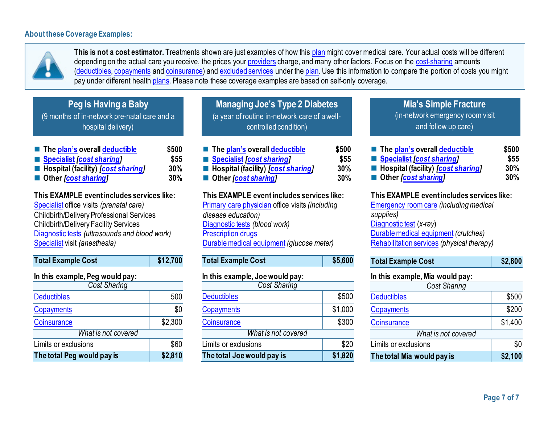### **About these Coverage Examples:**



**This is not a cost estimator.** Treatments shown are just examples of how this [plan](https://www.healthcare.gov/sbc-glossary/#plan)might cover medical care. Your actual costs will be different depending on the actual care you receive, the prices your [providers](https://www.healthcare.gov/sbc-glossary/#provider) charge, and many other factors. Focus on the [cost-sharing](https://www.healthcare.gov/sbc-glossary/#cost-sharing) amounts [\(deductibles,](https://www.healthcare.gov/sbc-glossary/#deductible) [copayments](https://www.healthcare.gov/sbc-glossary/#copayment) an[d coinsurance\)](https://www.healthcare.gov/sbc-glossary/#coinsurance) and [excluded services](https://www.healthcare.gov/sbc-glossary/#excluded-services) under the [plan.](https://www.healthcare.gov/sbc-glossary/#plan) Use this information to compare the portion of costs you might pay under different health [plans.](https://www.healthcare.gov/sbc-glossary/#plan) Please note these coverage examples are based on self-only coverage.

| Peg is Having a Baby |  |
|----------------------|--|
|----------------------|--|

(9 months of in-network pre-natal care and a hospital delivery)

| The plan's overall deductible               | \$500 |
|---------------------------------------------|-------|
| Specialist <i>[cost sharing]</i>            | \$55  |
| ■ Hospital (facility) <i>[cost sharing]</i> | 30%   |
| ■ Other <i>[cost sharing]</i>               | 30%   |

**This EXAMPLE event includes services like:**

[Specialist](https://www.healthcare.gov/sbc-glossary/#specialist) office visits *(prenatal care)* Childbirth/Delivery Professional Services Childbirth/Delivery Facility Services [Diagnostic tests](https://www.healthcare.gov/sbc-glossary/#diagnostic-test) *(ultrasounds and blood work)* [Specialist](https://www.healthcare.gov/sbc-glossary/#specialist) visit *(anesthesia)*

| <b>Total Example Cost</b>       | \$12,700 |  |  |
|---------------------------------|----------|--|--|
| In this example, Peg would pay: |          |  |  |
| <b>Cost Sharing</b>             |          |  |  |
| <b>Deductibles</b>              | 500      |  |  |
| Copayments                      | \$0      |  |  |
| Coinsurance                     | \$2,300  |  |  |
| What is not covered             |          |  |  |
| Limits or exclusions            | \$60     |  |  |
| The total Peg would pay is      | \$2,810  |  |  |

**Managing Joe's Type 2 Diabetes**  (a year of routine in-network care of awellcontrolled condition)

| ■ The plan's overall deductible             | \$500 |
|---------------------------------------------|-------|
| ■ Specialist [cost sharing]                 | \$55  |
| ■ Hospital (facility) <i>[cost sharing]</i> | 30%   |
| ■ Other <i>[cost sharing]</i>               | 30%   |

**This EXAMPLE event includes services like:** [Primary care physician](https://www.healthcare.gov/sbc-glossary/#primary-care-physician) office visits *(including disease education)* [Diagnostic tests](https://www.healthcare.gov/sbc-glossary/#diagnostic-test) *(blood work)* [Prescription drugs](https://www.healthcare.gov/sbc-glossary/#prescription-drugs) [Durable medical equipment](https://www.healthcare.gov/sbc-glossary/#durable-medical-equipment) *(glucose meter)*

Total Example Cost **\$5,600** 

| In this example, Joe would pay: |         |
|---------------------------------|---------|
| <b>Cost Sharing</b>             |         |
| <b>Deductibles</b>              | \$500   |
| Copayments                      | \$1,000 |
| Coinsurance                     | \$300   |
| What is not covered             |         |
| Limits or exclusions            | \$20    |
| The total Joe would pay is      | \$1,820 |
|                                 |         |

# **Mia's Simple Fracture** (in-network emergency room visit and follow up care)

 **Th[e plan's](https://www.healthcare.gov/sbc-glossary/#plan) overal[l deductible](https://www.healthcare.gov/sbc-glossary/#deductible) \$500 [Specialist](https://www.healthcare.gov/sbc-glossary/#specialist)** *[\[cost sharing\]](https://www.healthcare.gov/sbc-glossary/#cost-sharing)* **\$55 Hospital (facility)** *[\[cost sharing\]](https://www.healthcare.gov/sbc-glossary/#cost-sharing)* **30% Other** *[\[cost sharing\]](https://www.healthcare.gov/sbc-glossary/#cost-sharing)* **30%**

# **This EXAMPLE event includes services like:**

[Emergency room care](https://www.healthcare.gov/sbc-glossary/#emergency-room-care-emergency-services) *(including medical supplies)* [Diagnostic test](https://www.healthcare.gov/sbc-glossary/#diagnostic-test) (*x-ray*) [Durable medical equipment](https://www.healthcare.gov/sbc-glossary/#durable-medical-equipment) *(crutches)* [Rehabilitation services](https://www.healthcare.gov/sbc-glossary/#rehabilitation-services) *(physical therapy)*

| <b>Total Example Cost</b> | \$2,800 |
|---------------------------|---------|
|---------------------------|---------|

#### **In this example, Mia would pay:**

| <b>Cost Sharing</b>        |         |
|----------------------------|---------|
| <b>Deductibles</b>         | \$500   |
| <b>Copayments</b>          | \$200   |
| Coinsurance                | \$1,400 |
| What is not covered        |         |
| Limits or exclusions       | \$0     |
| The total Mia would pay is | \$2,100 |